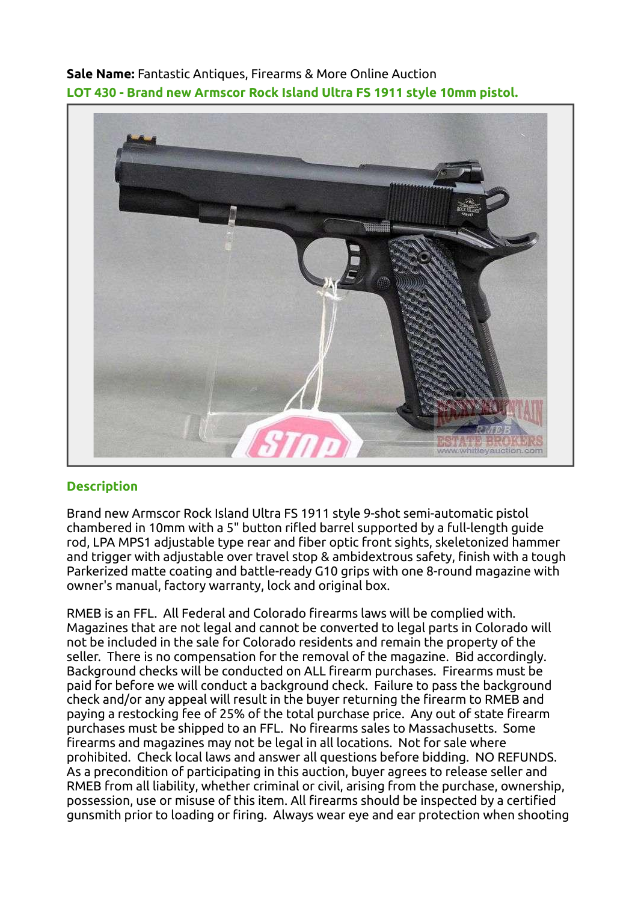Sale Name: Fantastic Antiques, Firearms & More Online Auction LOT 430 - Brand new Armscor Rock Island Ultra FS 1911 style 10mm pistol.



## **Description**

Brand new Armscor Rock Island Ultra FS 1911 style 9-shot semi-automatic pistol chambered in 10mm with a 5" button rifled barrel supported by a full-length guide rod, LPA MPS1 adjustable type rear and fiber optic front sights, skeletonized hammer and trigger with adjustable over travel stop & ambidextrous safety, finish with a tough Parkerized matte coating and battle-ready G10 grips with one 8-round magazine with owner's manual, factory warranty, lock and original box.

RMEB is an FFL. All Federal and Colorado firearms laws will be complied with. Magazines that are not legal and cannot be converted to legal parts in Colorado will not be included in the sale for Colorado residents and remain the property of the seller. There is no compensation for the removal of the magazine. Bid accordingly. Background checks will be conducted on ALL firearm purchases. Firearms must be paid for before we will conduct a background check. Failure to pass the background check and/or any appeal will result in the buyer returning the firearm to RMEB and paying a restocking fee of 25% of the total purchase price. Any out of state firearm purchases must be shipped to an FFL. No firearms sales to Massachusetts. Some firearms and magazines may not be legal in all locations. Not for sale where prohibited. Check local laws and answer all questions before bidding. NO REFUNDS. As a precondition of participating in this auction, buyer agrees to release seller and RMEB from all liability, whether criminal or civil, arising from the purchase, ownership, possession, use or misuse of this item. All firearms should be inspected by a certified gunsmith prior to loading or firing. Always wear eye and ear protection when shooting